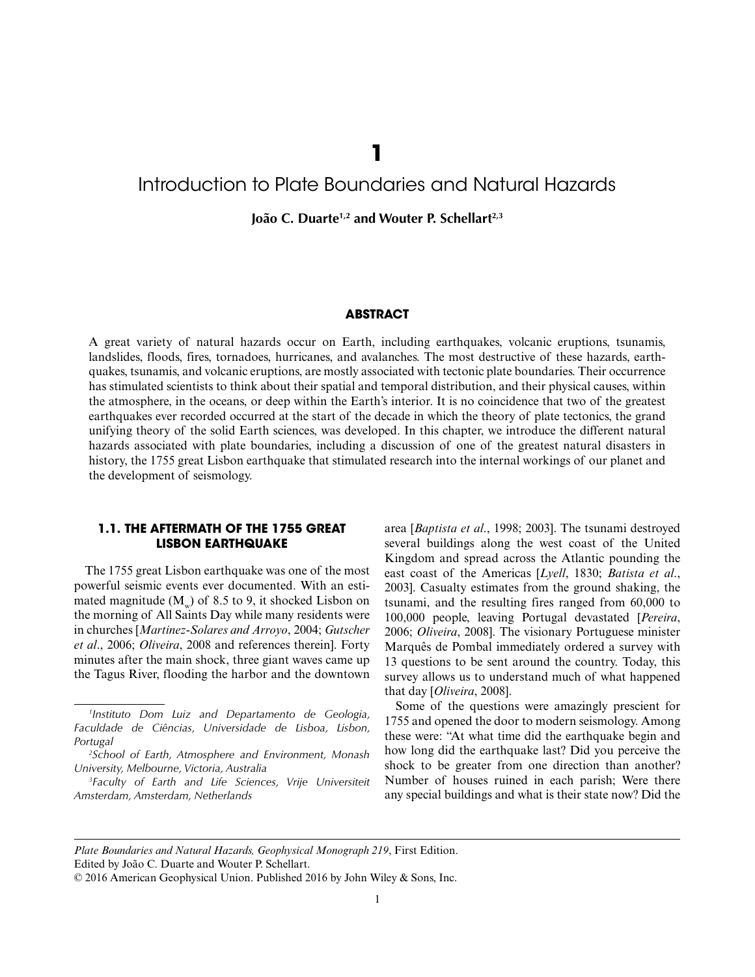# Introduction to Plate Boundaries and Natural Hazards

**João C. Duarte<sup>1,2</sup> and Wouter P. Schellart<sup>2,3</sup>** 

# **ABSTRACT**

A great variety of natural hazards occur on Earth, including earthquakes, volcanic eruptions, tsunamis, landslides, floods, fires, tornadoes, hurricanes, and avalanches. The most destructive of these hazards, earthquakes, tsunamis, and volcanic eruptions, are mostly associated with tectonic plate boundaries. Their occurrence has stimulated scientists to think about their spatial and temporal distribution, and their physical causes, within the atmosphere, in the oceans, or deep within the Earth's interior. It is no coincidence that two of the greatest earthquakes ever recorded occurred at the start of the decade in which the theory of plate tectonics, the grand unifying theory of the solid Earth sciences, was developed. In this chapter, we introduce the different natural hazards associated with plate boundaries, including a discussion of one of the greatest natural disasters in history, the 1755 great Lisbon earthquake that stimulated research into the internal workings of our planet and the development of seismology.

## **1.1. THE AFTERMATH OF THE 1755 GREAT LISBON EARTHQUAKE**

The 1755 great Lisbon earthquake was one of the most powerful seismic events ever documented. With an estimated magnitude  $(M<sub>m</sub>)$  of 8.5 to 9, it shocked Lisbon on the morning of All Saints Day while many residents were in churches [*Martinez‐Solares and Arroyo*, 2004; *Gutscher et al*., 2006; *Oliveira*, 2008 and references therein]. Forty minutes after the main shock, three giant waves came up the Tagus River, flooding the harbor and the downtown

area [*Baptista et al*., 1998; 2003]. The tsunami destroyed several buildings along the west coast of the United Kingdom and spread across the Atlantic pounding the east coast of the Americas [*Lyell*, 1830; *Batista et al*., 2003]. Casualty estimates from the ground shaking, the tsunami, and the resulting fires ranged from 60,000 to 100,000 people, leaving Portugal devastated [*Pereira*, 2006; *Oliveira*, 2008]. The visionary Portuguese minister Marquês de Pombal immediately ordered a survey with 13 questions to be sent around the country. Today, this survey allows us to understand much of what happened that day [*Oliveira*, 2008].

Some of the questions were amazingly prescient for 1755 and opened the door to modern seismology. Among these were: "At what time did the earthquake begin and how long did the earthquake last? Did you perceive the shock to be greater from one direction than another? Number of houses ruined in each parish; Were there any special buildings and what is their state now? Did the

*Plate Boundaries and Natural Hazards, Geophysical Monograph 219*, First Edition. Edited by João C. Duarte and Wouter P. Schellart.

*<sup>1</sup> Instituto Dom Luiz and Departamento de Geologia, Faculdade de Ciências, Universidade de Lisboa, Lisbon, Portugal*

*<sup>2</sup> School of Earth, Atmosphere and Environment, Monash University, Melbourne, Victoria, Australia*

*<sup>3</sup> Faculty of Earth and Life Sciences, Vrije Universiteit Amsterdam, Amsterdam, Netherlands*

<sup>© 2016</sup> American Geophysical Union. Published 2016 by John Wiley & Sons, Inc.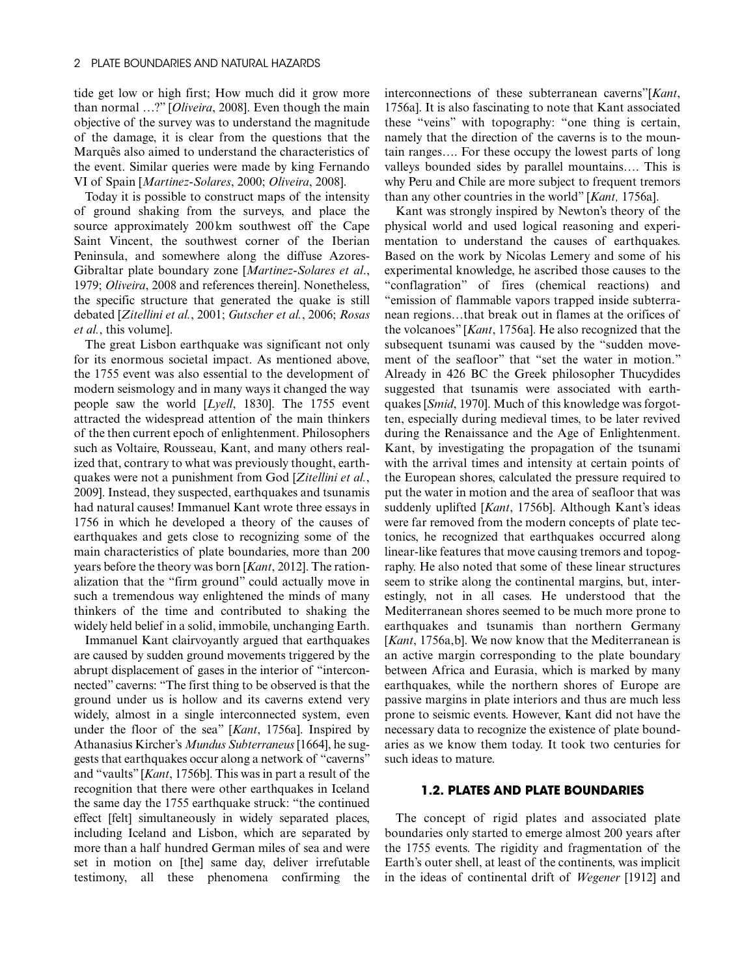tide get low or high first; How much did it grow more than normal …?" [*Oliveira*, 2008]. Even though the main objective of the survey was to understand the magnitude of the damage, it is clear from the questions that the Marquês also aimed to understand the characteristics of the event. Similar queries were made by king Fernando VI of Spain [*Martinez‐Solares*, 2000; *Oliveira*, 2008].

Today it is possible to construct maps of the intensity of ground shaking from the surveys, and place the source approximately 200km southwest off the Cape Saint Vincent, the southwest corner of the Iberian Peninsula, and somewhere along the diffuse Azores-Gibraltar plate boundary zone [*Martinez‐Solares et al*., 1979; *Oliveira*, 2008 and references therein]. Nonetheless, the specific structure that generated the quake is still debated [*Zitellini et al.*, 2001; *Gutscher et al.*, 2006; *Rosas et al.*, this volume].

The great Lisbon earthquake was significant not only for its enormous societal impact. As mentioned above, the 1755 event was also essential to the development of modern seismology and in many ways it changed the way people saw the world [*Lyell*, 1830]. The 1755 event attracted the widespread attention of the main thinkers of the then current epoch of enlightenment. Philosophers such as Voltaire, Rousseau, Kant, and many others realized that, contrary to what was previously thought, earthquakes were not a punishment from God [*Zitellini et al.*, 2009]. Instead, they suspected, earthquakes and tsunamis had natural causes! Immanuel Kant wrote three essays in 1756 in which he developed a theory of the causes of earthquakes and gets close to recognizing some of the main characteristics of plate boundaries, more than 200 years before the theory was born [*Kant*, 2012]. The rationalization that the "firm ground" could actually move in such a tremendous way enlightened the minds of many thinkers of the time and contributed to shaking the widely held belief in a solid, immobile, unchanging Earth.

Immanuel Kant clairvoyantly argued that earthquakes are caused by sudden ground movements triggered by the abrupt displacement of gases in the interior of "interconnected" caverns: "The first thing to be observed is that the ground under us is hollow and its caverns extend very widely, almost in a single interconnected system, even under the floor of the sea" [*Kant*, 1756a]. Inspired by Athanasius Kircher's *Mundus Subterraneus* [1664], he suggests that earthquakes occur along a network of "caverns" and "vaults" [*Kant*, 1756b]. This was in part a result of the recognition that there were other earthquakes in Iceland the same day the 1755 earthquake struck: "the continued effect [felt] simultaneously in widely separated places, including Iceland and Lisbon, which are separated by more than a half hundred German miles of sea and were set in motion on [the] same day, deliver irrefutable testimony, all these phenomena confirming the interconnections of these subterranean caverns"[*Kant*, 1756a]. It is also fascinating to note that Kant associated these "veins" with topography: "one thing is certain, namely that the direction of the caverns is to the mountain ranges…. For these occupy the lowest parts of long valleys bounded sides by parallel mountains…. This is why Peru and Chile are more subject to frequent tremors than any other countries in the world" [*Kant,* 1756a].

Kant was strongly inspired by Newton's theory of the physical world and used logical reasoning and experimentation to understand the causes of earthquakes. Based on the work by Nicolas Lemery and some of his experimental knowledge, he ascribed those causes to the "conflagration" of fires (chemical reactions) and "emission of flammable vapors trapped inside subterranean regions…that break out in flames at the orifices of the volcanoes" [*Kant*, 1756a]. He also recognized that the subsequent tsunami was caused by the "sudden movement of the seafloor" that "set the water in motion." Already in 426 BC the Greek philosopher Thucydides suggested that tsunamis were associated with earthquakes [*Smid*, 1970]. Much of this knowledge was forgotten, especially during medieval times, to be later revived during the Renaissance and the Age of Enlightenment. Kant, by investigating the propagation of the tsunami with the arrival times and intensity at certain points of the European shores, calculated the pressure required to put the water in motion and the area of seafloor that was suddenly uplifted [*Kant*, 1756b]. Although Kant's ideas were far removed from the modern concepts of plate tectonics, he recognized that earthquakes occurred along linear-like features that move causing tremors and topography. He also noted that some of these linear structures seem to strike along the continental margins, but, interestingly, not in all cases. He understood that the Mediterranean shores seemed to be much more prone to earthquakes and tsunamis than northern Germany [*Kant*, 1756a,b]. We now know that the Mediterranean is an active margin corresponding to the plate boundary between Africa and Eurasia, which is marked by many earthquakes, while the northern shores of Europe are passive margins in plate interiors and thus are much less prone to seismic events. However, Kant did not have the necessary data to recognize the existence of plate boundaries as we know them today. It took two centuries for such ideas to mature.

### **1.2. PLATES AND PLATE BOUNDARIES**

The concept of rigid plates and associated plate boundaries only started to emerge almost 200 years after the 1755 events. The rigidity and fragmentation of the Earth's outer shell, at least of the continents, was implicit in the ideas of continental drift of *Wegener* [1912] and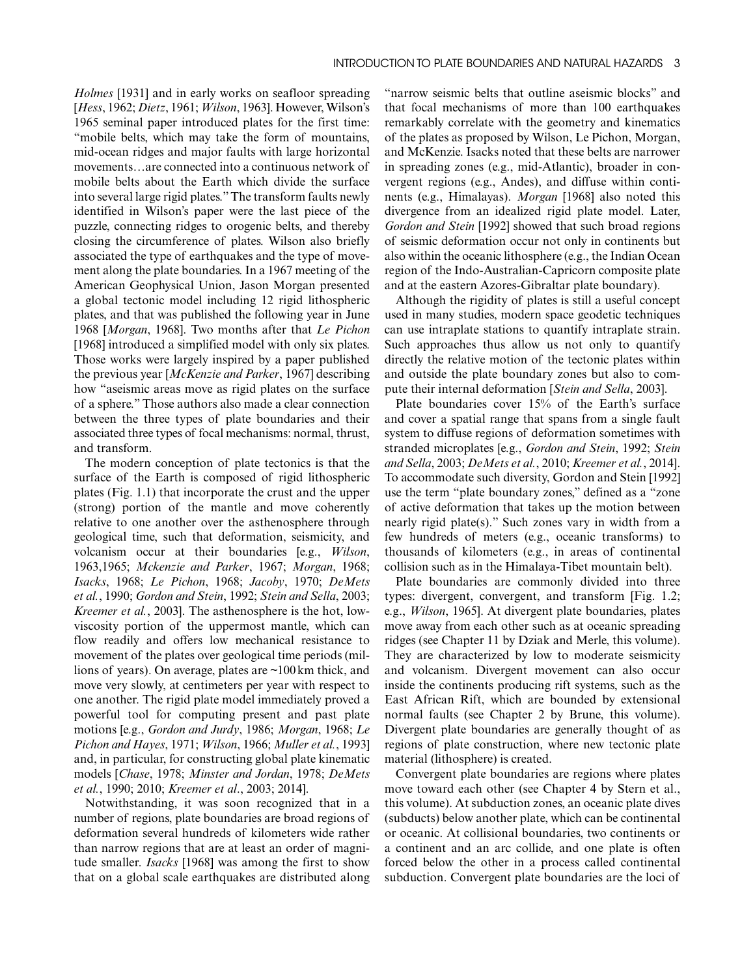*Holmes* [1931] and in early works on seafloor spreading [*Hess*, 1962; *Dietz*, 1961; *Wilson*, 1963]. However, Wilson's 1965 seminal paper introduced plates for the first time: "mobile belts, which may take the form of mountains, mid‐ocean ridges and major faults with large horizontal movements…are connected into a continuous network of mobile belts about the Earth which divide the surface into several large rigid plates." The transform faults newly identified in Wilson's paper were the last piece of the puzzle, connecting ridges to orogenic belts, and thereby closing the circumference of plates. Wilson also briefly associated the type of earthquakes and the type of movement along the plate boundaries. In a 1967 meeting of the American Geophysical Union, Jason Morgan presented a global tectonic model including 12 rigid lithospheric plates, and that was published the following year in June 1968 [*Morgan*, 1968]. Two months after that *Le Pichon* [1968] introduced a simplified model with only six plates. Those works were largely inspired by a paper published the previous year [*McKenzie and Parker*, 1967] describing how "aseismic areas move as rigid plates on the surface of a sphere." Those authors also made a clear connection between the three types of plate boundaries and their associated three types of focal mechanisms: normal, thrust, and transform.

The modern conception of plate tectonics is that the surface of the Earth is composed of rigid lithospheric plates (Fig. 1.1) that incorporate the crust and the upper (strong) portion of the mantle and move coherently relative to one another over the asthenosphere through geological time, such that deformation, seismicity, and volcanism occur at their boundaries [e.g., *Wilson*, 1963,1965; *Mckenzie and Parker*, 1967; *Morgan*, 1968; *Isacks*, 1968; *Le Pichon*, 1968; *Jacoby*, 1970; *DeMets et al.*, 1990; *Gordon and Stein*, 1992; *Stein and Sella*, 2003; *Kreemer et al.*, 2003]. The asthenosphere is the hot, low‐ viscosity portion of the uppermost mantle, which can flow readily and offers low mechanical resistance to movement of the plates over geological time periods (millions of years). On average, plates are ~100km thick, and move very slowly, at centimeters per year with respect to one another. The rigid plate model immediately proved a powerful tool for computing present and past plate motions [e.g., *Gordon and Jurdy*, 1986; *Morgan*, 1968; *Le Pichon and Hayes*, 1971; *Wilson*, 1966; *Muller et al.*, 1993] and, in particular, for constructing global plate kinematic models [*Chase*, 1978; *Minster and Jordan*, 1978; *DeMets et al.*, 1990; 2010; *Kreemer et al*., 2003; 2014].

Notwithstanding, it was soon recognized that in a number of regions, plate boundaries are broad regions of deformation several hundreds of kilometers wide rather than narrow regions that are at least an order of magnitude smaller. *Isacks* [1968] was among the first to show that on a global scale earthquakes are distributed along "narrow seismic belts that outline aseismic blocks" and that focal mechanisms of more than 100 earthquakes remarkably correlate with the geometry and kinematics of the plates as proposed by Wilson, Le Pichon, Morgan, and McKenzie. Isacks noted that these belts are narrower in spreading zones (e.g., mid‐Atlantic), broader in convergent regions (e.g., Andes), and diffuse within continents (e.g., Himalayas). *Morgan* [1968] also noted this divergence from an idealized rigid plate model. Later, *Gordon and Stein* [1992] showed that such broad regions of seismic deformation occur not only in continents but also within the oceanic lithosphere (e.g., the Indian Ocean region of the Indo‐Australian‐Capricorn composite plate and at the eastern Azores‐Gibraltar plate boundary).

Although the rigidity of plates is still a useful concept used in many studies, modern space geodetic techniques can use intraplate stations to quantify intraplate strain. Such approaches thus allow us not only to quantify directly the relative motion of the tectonic plates within and outside the plate boundary zones but also to compute their internal deformation [*Stein and Sella*, 2003].

Plate boundaries cover 15% of the Earth's surface and cover a spatial range that spans from a single fault system to diffuse regions of deformation sometimes with stranded microplates [e.g., *Gordon and Stein*, 1992; *Stein and Sella*, 2003; *DeMets et al.*, 2010; *Kreemer et al.*, 2014]. To accommodate such diversity, Gordon and Stein [1992] use the term "plate boundary zones," defined as a "zone of active deformation that takes up the motion between nearly rigid plate(s)." Such zones vary in width from a few hundreds of meters (e.g., oceanic transforms) to thousands of kilometers (e.g., in areas of continental collision such as in the Himalaya‐Tibet mountain belt).

Plate boundaries are commonly divided into three types: divergent, convergent, and transform [Fig. 1.2; e.g., *Wilson*, 1965]. At divergent plate boundaries, plates move away from each other such as at oceanic spreading ridges (see Chapter 11 by Dziak and Merle, this volume). They are characterized by low to moderate seismicity and volcanism. Divergent movement can also occur inside the continents producing rift systems, such as the East African Rift, which are bounded by extensional normal faults (see Chapter 2 by Brune, this volume). Divergent plate boundaries are generally thought of as regions of plate construction, where new tectonic plate material (lithosphere) is created.

Convergent plate boundaries are regions where plates move toward each other (see Chapter 4 by Stern et al., this volume). At subduction zones, an oceanic plate dives (subducts) below another plate, which can be continental or oceanic. At collisional boundaries, two continents or a continent and an arc collide, and one plate is often forced below the other in a process called continental subduction. Convergent plate boundaries are the loci of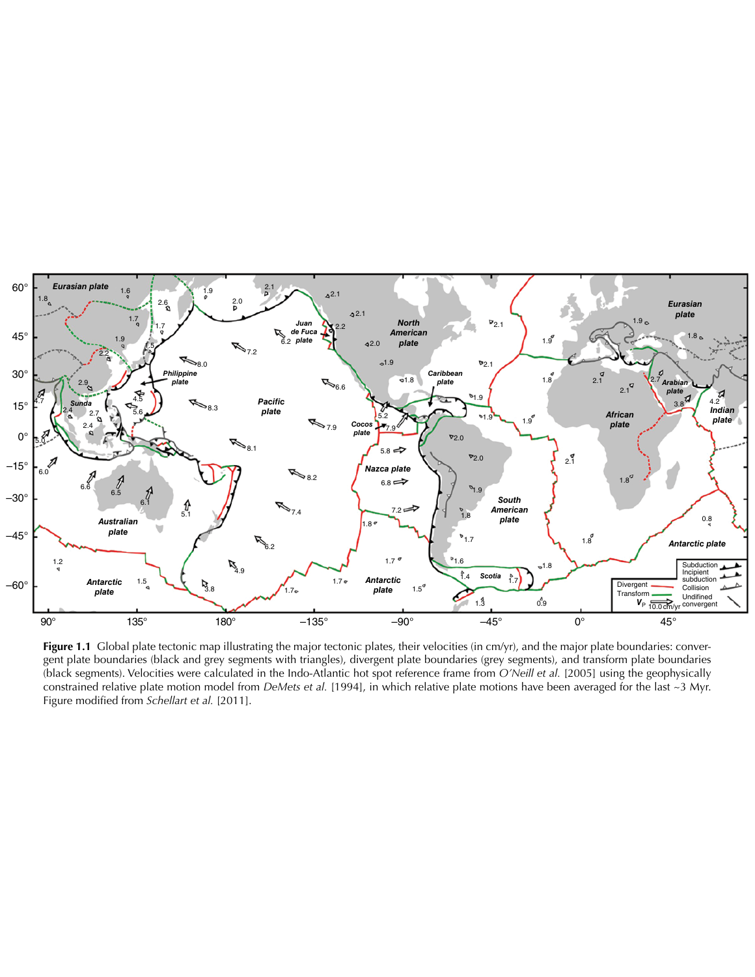

Figure 1.1 Global plate tectonic map illustrating the major tectonic plates, their velocities (in cm/yr), and the major plate boundaries: convergent plate boundaries (black and grey segments with triangles), divergent plate boundaries (grey segments), and transform plate boundaries (black segments). Velocities were calculated in the Indo‐Atlantic hot spot reference frame from *O'Neill et al.* [2005] using the geophysically constrained relative plate motion model from *DeMets et al.* [1994], in which relative plate motions have been averaged for the last ~3 Myr. Figure modified from *Schellart et al.* [2011].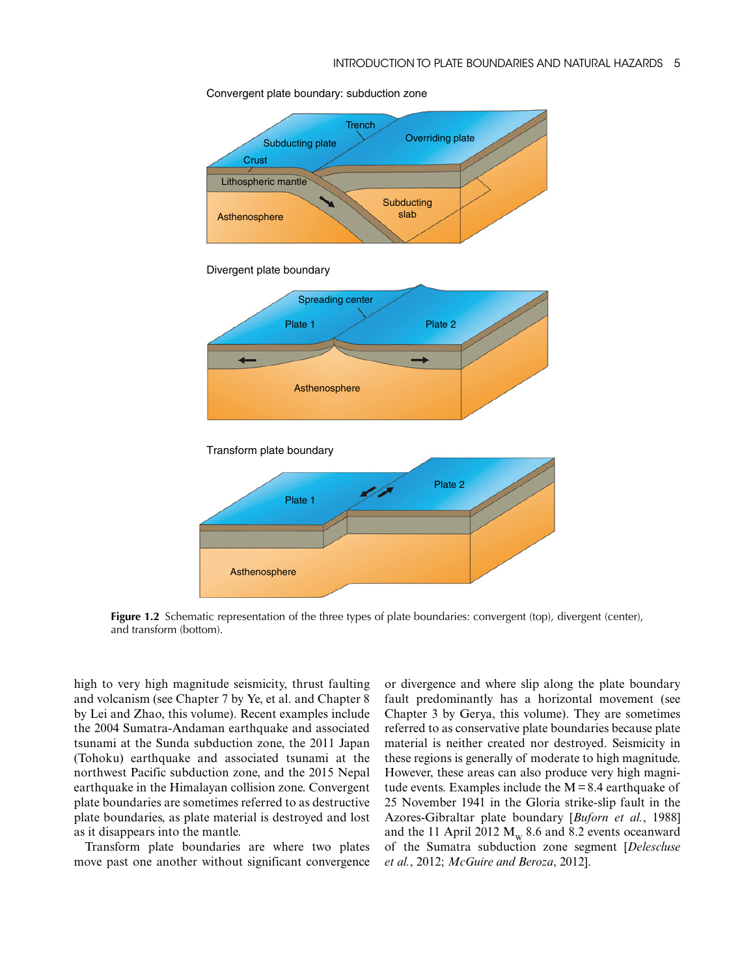

Convergent plate boundary: subduction zone

Figure 1.2 Schematic representation of the three types of plate boundaries: convergent (top), divergent (center), and transform (bottom).

high to very high magnitude seismicity, thrust faulting and volcanism (see Chapter 7 by Ye, et al. and Chapter 8 by Lei and Zhao, this volume). Recent examples include the 2004 Sumatra‐Andaman earthquake and associated tsunami at the Sunda subduction zone, the 2011 Japan (Tohoku) earthquake and associated tsunami at the northwest Pacific subduction zone, and the 2015 Nepal earthquake in the Himalayan collision zone. Convergent plate boundaries are sometimes referred to as destructive plate boundaries, as plate material is destroyed and lost as it disappears into the mantle.

Transform plate boundaries are where two plates move past one another without significant convergence

or divergence and where slip along the plate boundary fault predominantly has a horizontal movement (see Chapter 3 by Gerya, this volume). They are sometimes referred to as conservative plate boundaries because plate material is neither created nor destroyed. Seismicity in these regions is generally of moderate to high magnitude. However, these areas can also produce very high magnitude events. Examples include the  $M = 8.4$  earthquake of 25 November 1941 in the Gloria strike‐slip fault in the Azores‐Gibraltar plate boundary [*Buforn et al.*, 1988] and the 11 April 2012  $M_w$  8.6 and 8.2 events oceanward of the Sumatra subduction zone segment [*Delescluse et al.*, 2012; *McGuire and Beroza*, 2012].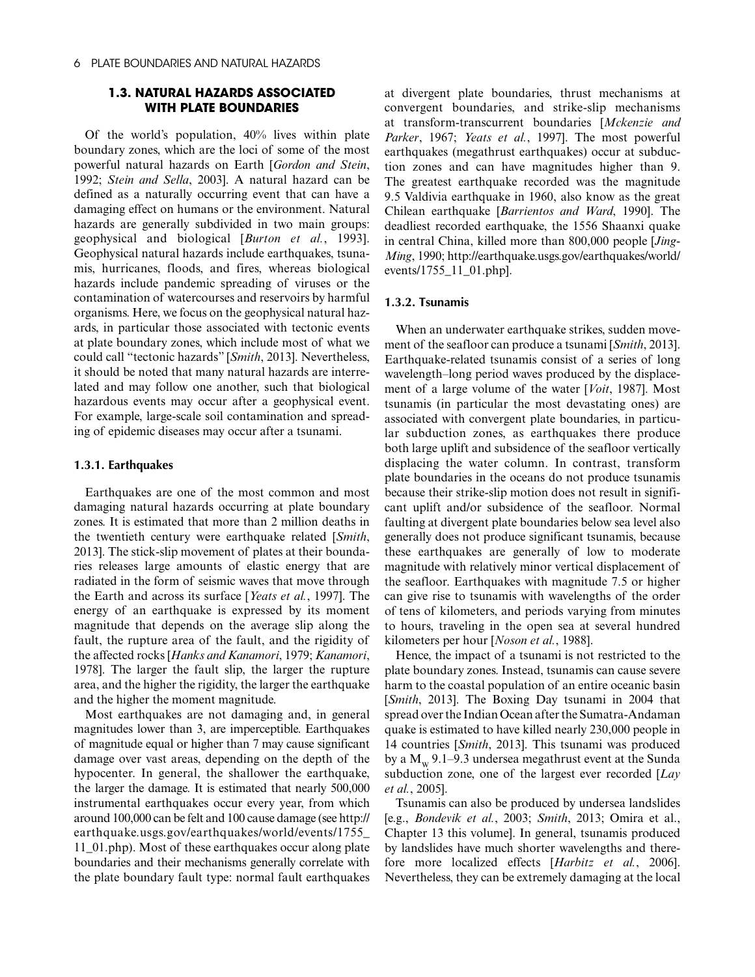# **1.3. NATURAL HAZARDS ASSOCIATED WITH PLATE BOUNDARIES**

Of the world's population, 40% lives within plate boundary zones, which are the loci of some of the most powerful natural hazards on Earth [*Gordon and Stein*, 1992; *Stein and Sella*, 2003]. A natural hazard can be defined as a naturally occurring event that can have a damaging effect on humans or the environment. Natural hazards are generally subdivided in two main groups: geophysical and biological [*Burton et al.*, 1993]. Geophysical natural hazards include earthquakes, tsunamis, hurricanes, floods, and fires, whereas biological hazards include pandemic spreading of viruses or the contamination of watercourses and reservoirs by harmful organisms. Here, we focus on the geophysical natural hazards, in particular those associated with tectonic events at plate boundary zones, which include most of what we could call "tectonic hazards" [*Smith*, 2013]. Nevertheless, it should be noted that many natural hazards are interrelated and may follow one another, such that biological hazardous events may occur after a geophysical event. For example, large-scale soil contamination and spreading of epidemic diseases may occur after a tsunami.

## **1.3.1. Earthquakes**

Earthquakes are one of the most common and most damaging natural hazards occurring at plate boundary zones. It is estimated that more than 2 million deaths in the twentieth century were earthquake related [*Smith*, 2013]. The stick‐slip movement of plates at their boundaries releases large amounts of elastic energy that are radiated in the form of seismic waves that move through the Earth and across its surface [*Yeats et al.*, 1997]. The energy of an earthquake is expressed by its moment magnitude that depends on the average slip along the fault, the rupture area of the fault, and the rigidity of the affected rocks [*Hanks and Kanamori*, 1979; *Kanamori*, 1978]. The larger the fault slip, the larger the rupture area, and the higher the rigidity, the larger the earthquake and the higher the moment magnitude.

Most earthquakes are not damaging and, in general magnitudes lower than 3, are imperceptible. Earthquakes of magnitude equal or higher than 7 may cause significant damage over vast areas, depending on the depth of the hypocenter. In general, the shallower the earthquake, the larger the damage. It is estimated that nearly 500,000 instrumental earthquakes occur every year, from which around 100,000 can be felt and 100 cause damage (see [http://](http://earthquake.usgs.gov/earthquakes/world/events/1755_11_01.php) [earthquake.usgs.gov/earthquakes/world/events/1755\\_](http://earthquake.usgs.gov/earthquakes/world/events/1755_11_01.php) [11\\_01.php](http://earthquake.usgs.gov/earthquakes/world/events/1755_11_01.php)). Most of these earthquakes occur along plate boundaries and their mechanisms generally correlate with the plate boundary fault type: normal fault earthquakes

at divergent plate boundaries, thrust mechanisms at convergent boundaries, and strike‐slip mechanisms at transform‐transcurrent boundaries [*Mckenzie and Parker*, 1967; *Yeats et al.*, 1997]. The most powerful earthquakes (megathrust earthquakes) occur at subduction zones and can have magnitudes higher than 9. The greatest earthquake recorded was the magnitude 9.5 Valdivia earthquake in 1960, also know as the great Chilean earthquake [*Barrientos and Ward*, 1990]. The deadliest recorded earthquake, the 1556 Shaanxi quake in central China, killed more than 800,000 people [*Jing‐ Ming*, 1990; [http://earthquake.usgs.gov/earthquakes/world/](http://earthquake.usgs.gov/earthquakes/world/events/1755_11_01.php) [events/1755\\_11\\_01.php](http://earthquake.usgs.gov/earthquakes/world/events/1755_11_01.php)].

## **1.3.2. Tsunamis**

When an underwater earthquake strikes, sudden movement of the seafloor can produce a tsunami [*Smith*, 2013]. Earthquake‐related tsunamis consist of a series of long wavelength–long period waves produced by the displacement of a large volume of the water [*Voit*, 1987]. Most tsunamis (in particular the most devastating ones) are associated with convergent plate boundaries, in particular subduction zones, as earthquakes there produce both large uplift and subsidence of the seafloor vertically displacing the water column. In contrast, transform plate boundaries in the oceans do not produce tsunamis because their strike‐slip motion does not result in significant uplift and/or subsidence of the seafloor. Normal faulting at divergent plate boundaries below sea level also generally does not produce significant tsunamis, because these earthquakes are generally of low to moderate magnitude with relatively minor vertical displacement of the seafloor. Earthquakes with magnitude 7.5 or higher can give rise to tsunamis with wavelengths of the order of tens of kilometers, and periods varying from minutes to hours, traveling in the open sea at several hundred kilometers per hour [*Noson et al.*, 1988].

Hence, the impact of a tsunami is not restricted to the plate boundary zones. Instead, tsunamis can cause severe harm to the coastal population of an entire oceanic basin [*Smith*, 2013]. The Boxing Day tsunami in 2004 that spread over the Indian Ocean after the Sumatra‐Andaman quake is estimated to have killed nearly 230,000 people in 14 countries [*Smith*, 2013]. This tsunami was produced by a  $M_w$  9.1–9.3 undersea megathrust event at the Sunda subduction zone, one of the largest ever recorded [*Lay et al.*, 2005].

Tsunamis can also be produced by undersea landslides [e.g., *Bondevik et al.*, 2003; *Smith*, 2013; Omira et al., Chapter 13 this volume]. In general, tsunamis produced by landslides have much shorter wavelengths and therefore more localized effects [*Harbitz et al.*, 2006]. Nevertheless, they can be extremely damaging at the local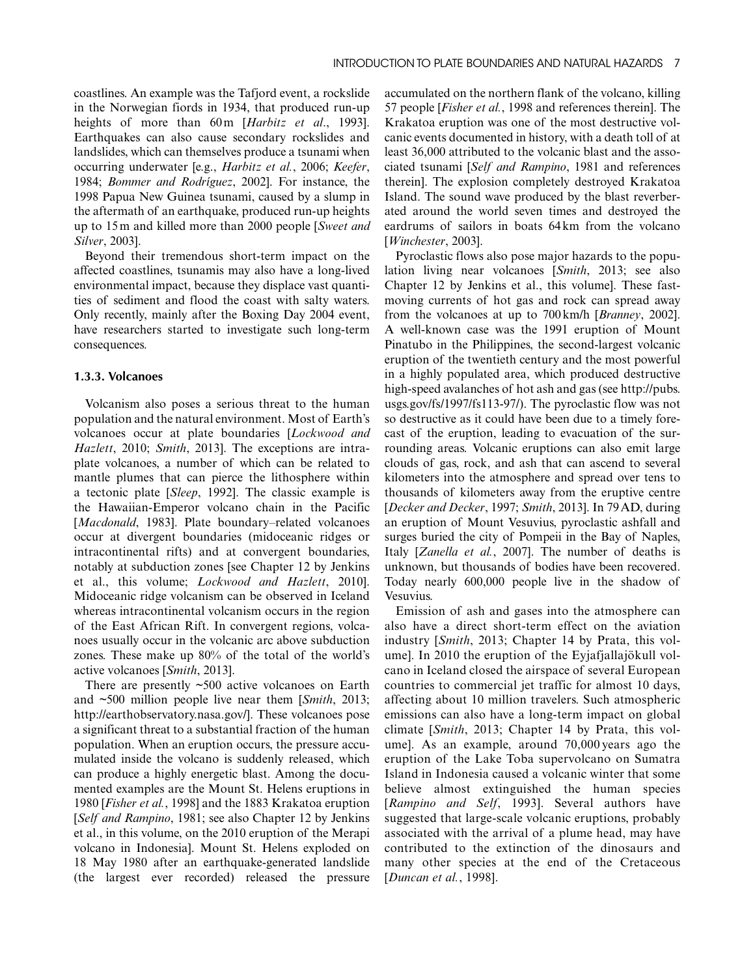coastlines. An example was the Tafjord event, a rockslide in the Norwegian fiords in 1934, that produced run‐up heights of more than 60m [*Harbitz et al*., 1993]. Earthquakes can also cause secondary rockslides and landslides, which can themselves produce a tsunami when occurring underwater [e.g., *Harbitz et al.*, 2006; *Keefer*, 1984; *Bommer and Rodríguez*, 2002]. For instance, the 1998 Papua New Guinea tsunami, caused by a slump in the aftermath of an earthquake, produced run‐up heights up to 15m and killed more than 2000 people [*Sweet and Silver*, 2003].

Beyond their tremendous short‐term impact on the affected coastlines, tsunamis may also have a long‐lived environmental impact, because they displace vast quantities of sediment and flood the coast with salty waters. Only recently, mainly after the Boxing Day 2004 event, have researchers started to investigate such long-term consequences.

## **1.3.3. Volcanoes**

Volcanism also poses a serious threat to the human population and the natural environment. Most of Earth's volcanoes occur at plate boundaries [*Lockwood and Hazlett*, 2010; *Smith*, 2013]. The exceptions are intraplate volcanoes, a number of which can be related to mantle plumes that can pierce the lithosphere within a tectonic plate [*Sleep*, 1992]. The classic example is the Hawaiian‐Emperor volcano chain in the Pacific [*Macdonald*, 1983]. Plate boundary–related volcanoes occur at divergent boundaries (midoceanic ridges or intracontinental rifts) and at convergent boundaries, notably at subduction zones [see Chapter 12 by Jenkins et al., this volume; *Lockwood and Hazlett*, 2010]. Midoceanic ridge volcanism can be observed in Iceland whereas intracontinental volcanism occurs in the region of the East African Rift. In convergent regions, volcanoes usually occur in the volcanic arc above subduction zones. These make up 80% of the total of the world's active volcanoes [*Smith*, 2013].

There are presently  $\sim$ 500 active volcanoes on Earth and ~500 million people live near them [*Smith*, 2013; <http://earthobservatory.nasa.gov>/]. These volcanoes pose a significant threat to a substantial fraction of the human population. When an eruption occurs, the pressure accumulated inside the volcano is suddenly released, which can produce a highly energetic blast. Among the documented examples are the Mount St. Helens eruptions in 1980 [*Fisher et al.*, 1998] and the 1883 Krakatoa eruption [*Self and Rampino*, 1981; see also Chapter 12 by Jenkins et al., in this volume, on the 2010 eruption of the Merapi volcano in Indonesia]. Mount St. Helens exploded on 18 May 1980 after an earthquake‐generated landslide (the largest ever recorded) released the pressure accumulated on the northern flank of the volcano, killing 57 people [*Fisher et al.*, 1998 and references therein]. The Krakatoa eruption was one of the most destructive volcanic events documented in history, with a death toll of at least 36,000 attributed to the volcanic blast and the associated tsunami [*Self and Rampino*, 1981 and references therein]. The explosion completely destroyed Krakatoa Island. The sound wave produced by the blast reverberated around the world seven times and destroyed the eardrums of sailors in boats 64km from the volcano [*Winchester*, 2003].

Pyroclastic flows also pose major hazards to the population living near volcanoes [*Smith*, 2013; see also Chapter 12 by Jenkins et al., this volume]. These fast‐ moving currents of hot gas and rock can spread away from the volcanoes at up to 700km/h [*Branney*, 2002]. A well‐known case was the 1991 eruption of Mount Pinatubo in the Philippines, the second‐largest volcanic eruption of the twentieth century and the most powerful in a highly populated area, which produced destructive high-speed avalanches of hot ash and gas (see [http://pubs.](http://pubs.usgs.gov/fs/1997/fs113-97/) [usgs.gov/fs/1997/fs113‐97/](http://pubs.usgs.gov/fs/1997/fs113-97/)). The pyroclastic flow was not so destructive as it could have been due to a timely forecast of the eruption, leading to evacuation of the surrounding areas. Volcanic eruptions can also emit large clouds of gas, rock, and ash that can ascend to several kilometers into the atmosphere and spread over tens to thousands of kilometers away from the eruptive centre [*Decker and Decker*, 1997; *Smith*, 2013]. In 79AD, during an eruption of Mount Vesuvius, pyroclastic ashfall and surges buried the city of Pompeii in the Bay of Naples, Italy [*Zanella et al.*, 2007]. The number of deaths is unknown, but thousands of bodies have been recovered. Today nearly 600,000 people live in the shadow of Vesuvius.

Emission of ash and gases into the atmosphere can also have a direct short‐term effect on the aviation industry [*Smith*, 2013; Chapter 14 by Prata, this volume]. In 2010 the eruption of the Eyjafjallajökull volcano in Iceland closed the airspace of several European countries to commercial jet traffic for almost 10 days, affecting about 10 million travelers. Such atmospheric emissions can also have a long‐term impact on global climate [*Smith*, 2013; Chapter 14 by Prata, this volume]. As an example, around 70,000 years ago the eruption of the Lake Toba supervolcano on Sumatra Island in Indonesia caused a volcanic winter that some believe almost extinguished the human species [*Rampino and Self*, 1993]. Several authors have suggested that large‐scale volcanic eruptions, probably associated with the arrival of a plume head, may have contributed to the extinction of the dinosaurs and many other species at the end of the Cretaceous [*Duncan et al.*, 1998].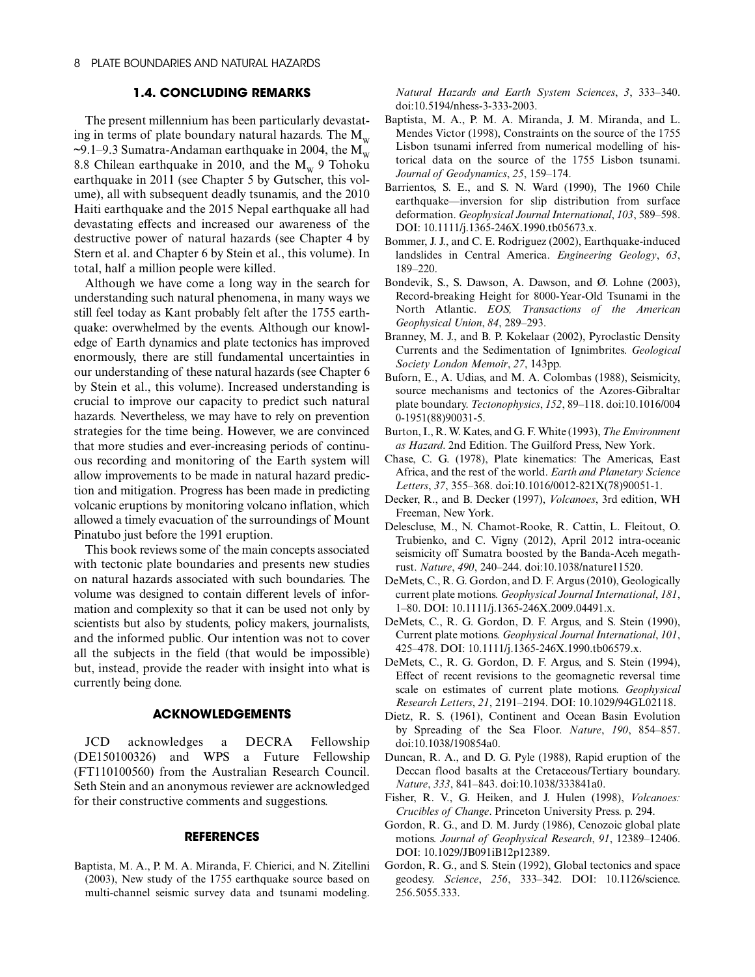# **1.4. CONCLUDING REMARKS**

The present millennium has been particularly devastating in terms of plate boundary natural hazards. The  $M_{w}$  $\sim$ 9.1–9.3 Sumatra-Andaman earthquake in 2004, the M<sub>w</sub> 8.8 Chilean earthquake in 2010, and the  $M_{\rm w}$  9 Tohoku earthquake in 2011 (see Chapter 5 by Gutscher, this volume), all with subsequent deadly tsunamis, and the 2010 Haiti earthquake and the 2015 Nepal earthquake all had devastating effects and increased our awareness of the destructive power of natural hazards (see Chapter 4 by Stern et al. and Chapter 6 by Stein et al., this volume). In total, half a million people were killed.

Although we have come a long way in the search for understanding such natural phenomena, in many ways we still feel today as Kant probably felt after the 1755 earthquake: overwhelmed by the events. Although our knowledge of Earth dynamics and plate tectonics has improved enormously, there are still fundamental uncertainties in our understanding of these natural hazards (see Chapter 6 by Stein et al., this volume). Increased understanding is crucial to improve our capacity to predict such natural hazards. Nevertheless, we may have to rely on prevention strategies for the time being. However, we are convinced that more studies and ever‐increasing periods of continuous recording and monitoring of the Earth system will allow improvements to be made in natural hazard prediction and mitigation. Progress has been made in predicting volcanic eruptions by monitoring volcano inflation, which allowed a timely evacuation of the surroundings of Mount Pinatubo just before the 1991 eruption.

This book reviews some of the main concepts associated with tectonic plate boundaries and presents new studies on natural hazards associated with such boundaries. The volume was designed to contain different levels of information and complexity so that it can be used not only by scientists but also by students, policy makers, journalists, and the informed public. Our intention was not to cover all the subjects in the field (that would be impossible) but, instead, provide the reader with insight into what is currently being done.

### **ACKNOWLEDGEMENTS**

JCD acknowledges a DECRA Fellowship (DE150100326) and WPS a Future Fellowship (FT110100560) from the Australian Research Council. Seth Stein and an anonymous reviewer are acknowledged for their constructive comments and suggestions.

#### **REFERENCES**

Baptista, M. A., P. M. A. Miranda, F. Chierici, and N. Zitellini (2003), New study of the 1755 earthquake source based on multi‐channel seismic survey data and tsunami modeling. *Natural Hazards and Earth System Sciences*, *3*, 333–340. doi:10.5194/nhess‐3‐333‐2003.

- Baptista, M. A., P. M. A. Miranda, J. M. Miranda, and L. Mendes Victor (1998), Constraints on the source of the 1755 Lisbon tsunami inferred from numerical modelling of historical data on the source of the 1755 Lisbon tsunami. *Journal of Geodynamics*, *25*, 159–174.
- Barrientos, S. E., and S. N. Ward (1990), The 1960 Chile earthquake—inversion for slip distribution from surface deformation. *Geophysical Journal International*, *103*, 589–598. DOI: 10.1111/j.1365‐246X.1990.tb05673.x.
- Bommer, J. J., and C. E. Rodriguez (2002), Earthquake-induced landslides in Central America. *Engineering Geology*, *63*, 189–220.
- Bondevik, S., S. Dawson, A. Dawson, and Ø. Lohne (2003), Record‐breaking Height for 8000‐Year‐Old Tsunami in the North Atlantic. *EOS, Transactions of the American Geophysical Union*, *84*, 289–293.
- Branney, M. J., and B. P. Kokelaar (2002), Pyroclastic Density Currents and the Sedimentation of Ignimbrites. *Geological Society London Memoir*, *27*, 143pp.
- Buforn, E., A. Udias, and M. A. Colombas (1988), Seismicity, source mechanisms and tectonics of the Azores-Gibraltar plate boundary. *Tectonophysics*, *152*, 89–118. doi:10.1016/004 0‐1951(88)90031‐5.
- Burton, I., R. W. Kates, and G. F. White (1993), *The Environment as Hazard*. 2nd Edition. The Guilford Press, New York.
- Chase, C. G. (1978), Plate kinematics: The Americas, East Africa, and the rest of the world. *Earth and Planetary Science Letters*, *37*, 355–368. doi:10.1016/0012‐821X(78)90051‐1.
- Decker, R., and B. Decker (1997), *Volcanoes*, 3rd edition, WH Freeman, New York.
- Delescluse, M., N. Chamot‐Rooke, R. Cattin, L. Fleitout, O. Trubienko, and C. Vigny (2012), April 2012 intra‐oceanic seismicity off Sumatra boosted by the Banda‐Aceh megathrust. *Nature*, *490*, 240–244. doi:10.1038/nature11520.
- DeMets, C., R. G. Gordon, and D. F. Argus (2010), Geologically current plate motions. *Geophysical Journal International*, *181*, 1–80. DOI: 10.1111/j.1365‐246X.2009.04491.x.
- DeMets, C., R. G. Gordon, D. F. Argus, and S. Stein (1990), Current plate motions. *Geophysical Journal International*, *101*, 425–478. DOI: 10.1111/j.1365‐246X.1990.tb06579.x.
- DeMets, C., R. G. Gordon, D. F. Argus, and S. Stein (1994), Effect of recent revisions to the geomagnetic reversal time scale on estimates of current plate motions. *Geophysical Research Letters*, *21*, 2191–2194. DOI: 10.1029/94GL02118.
- Dietz, R. S. (1961), Continent and Ocean Basin Evolution by Spreading of the Sea Floor. *Nature*, *190*, 854–857. doi:10.1038/190854a0.
- Duncan, R. A., and D. G. Pyle (1988), Rapid eruption of the Deccan flood basalts at the Cretaceous/Tertiary boundary. *Nature*, *333*, 841–843. doi:10.1038/333841a0.
- Fisher, R. V., G. Heiken, and J. Hulen (1998), *Volcanoes: Crucibles of Change*. Princeton University Press. p. 294.
- Gordon, R. G., and D. M. Jurdy (1986), Cenozoic global plate motions. *Journal of Geophysical Research*, *91*, 12389–12406. DOI: 10.1029/JB091iB12p12389.
- Gordon, R. G., and S. Stein (1992), Global tectonics and space geodesy. *Science*, *256*, 333–342. DOI: 10.1126/science. 256.5055.333.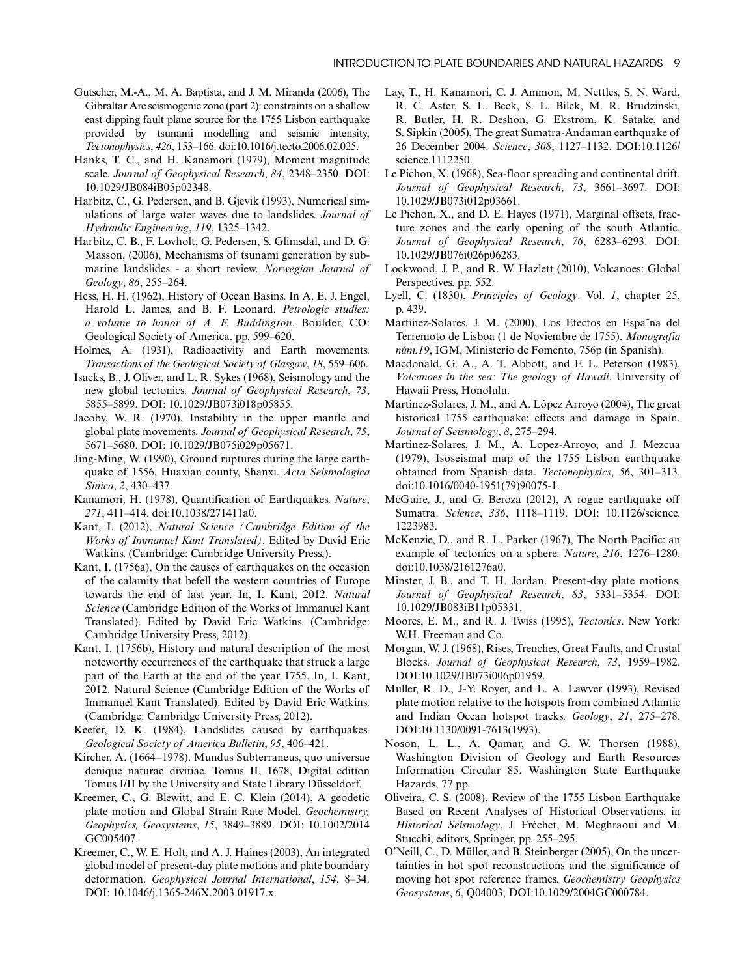- Gutscher, M.‐A., M. A. Baptista, and J. M. Miranda (2006), The Gibraltar Arc seismogenic zone (part 2): constraints on a shallow east dipping fault plane source for the 1755 Lisbon earthquake provided by tsunami modelling and seismic intensity, *Tectonophysics*, *426*, 153–166. doi:10.1016/j.tecto.2006.02.025.
- Hanks, T. C., and H. Kanamori (1979), Moment magnitude scale. *Journal of Geophysical Research*, *84*, 2348–2350. DOI: 10.1029/JB084iB05p02348.
- Harbitz, C., G. Pedersen, and B. Gjevik (1993), Numerical simulations of large water waves due to landslides. *Journal of Hydraulic Engineering*, *119*, 1325–1342.
- Harbitz, C. B., F. Lovholt, G. Pedersen, S. Glimsdal, and D. G. Masson, (2006), Mechanisms of tsunami generation by submarine landslides - a short review. *Norwegian Journal of Geology*, *86*, 255–264.
- Hess, H. H. (1962), History of Ocean Basins. In A. E. J. Engel, Harold L. James, and B. F. Leonard. *Petrologic studies: a volume to honor of A. F. Buddington*. Boulder, CO: Geological Society of America. pp. 599–620.
- Holmes, A. (1931), Radioactivity and Earth movements. *Transactions of the Geological Society of Glasgow*, *18*, 559–606.
- Isacks, B., J. Oliver, and L. R. Sykes (1968), Seismology and the new global tectonics. *Journal of Geophysical Research*, *73*, 5855–5899. DOI: 10.1029/JB073i018p05855.
- Jacoby, W. R. (1970), Instability in the upper mantle and global plate movements. *Journal of Geophysical Research*, *75*, 5671–5680. DOI: 10.1029/JB075i029p05671.
- Jing‐Ming, W. (1990), Ground ruptures during the large earthquake of 1556, Huaxian county, Shanxi. *Acta Seismologica Sinica*, *2*, 430–437.
- Kanamori, H. (1978), Quantification of Earthquakes. *Nature*, *271*, 411–414. doi:10.1038/271411a0.
- Kant, I. (2012), *Natural Science (Cambridge Edition of the Works of Immanuel Kant Translated)*. Edited by David Eric Watkins. (Cambridge: Cambridge University Press,).
- Kant, I. (1756a), On the causes of earthquakes on the occasion of the calamity that befell the western countries of Europe towards the end of last year. In, I. Kant, 2012. *Natural Science* (Cambridge Edition of the Works of Immanuel Kant Translated). Edited by David Eric Watkins. (Cambridge: Cambridge University Press, 2012).
- Kant, I. (1756b), History and natural description of the most noteworthy occurrences of the earthquake that struck a large part of the Earth at the end of the year 1755. In, I. Kant, 2012. Natural Science (Cambridge Edition of the Works of Immanuel Kant Translated). Edited by David Eric Watkins. (Cambridge: Cambridge University Press, 2012).
- Keefer, D. K. (1984), Landslides caused by earthquakes. *Geological Society of America Bulletin*, *95*, 406–421.
- Kircher, A. (1664–1978). Mundus Subterraneus, quo universae denique naturae divitiae. Tomus II, 1678, Digital edition Tomus I/II by the University and State Library Düsseldorf.
- Kreemer, C., G. Blewitt, and E. C. Klein (2014), A geodetic plate motion and Global Strain Rate Model. *Geochemistry, Geophysics, Geosystems*, *15*, 3849–3889. DOI: 10.1002/2014 GC005407.
- Kreemer, C., W. E. Holt, and A. J. Haines (2003), An integrated global model of present‐day plate motions and plate boundary deformation. *Geophysical Journal International*, *154*, 8–34. DOI: 10.1046/j.1365‐246X.2003.01917.x.
- Lay, T., H. Kanamori, C. J. Ammon, M. Nettles, S. N. Ward, R. C. Aster, S. L. Beck, S. L. Bilek, M. R. Brudzinski, R. Butler, H. R. Deshon, G. Ekstrom, K. Satake, and S. Sipkin (2005), The great Sumatra‐Andaman earthquake of 26 December 2004. *Science*, *308*, 1127–1132. DOI:10.1126/ science.1112250.
- Le Pichon, X. (1968), Sea-floor spreading and continental drift. *Journal of Geophysical Research*, *73*, 3661–3697. DOI: 10.1029/JB073i012p03661.
- Le Pichon, X., and D. E. Hayes (1971), Marginal offsets, fracture zones and the early opening of the south Atlantic. *Journal of Geophysical Research*, *76*, 6283–6293. DOI: 10.1029/JB076i026p06283.
- Lockwood, J. P., and R. W. Hazlett (2010), Volcanoes: Global Perspectives. pp. 552.
- Lyell, C. (1830), *Principles of Geology*. Vol. *1*, chapter 25, p. 439.
- Martinez‐Solares, J. M. (2000), Los Efectos en Espa˜na del Terremoto de Lisboa (1 de Noviembre de 1755). *Monografía núm.19*, IGM, Ministerio de Fomento, 756p (in Spanish).
- Macdonald, G. A., A. T. Abbott, and F. L. Peterson (1983), *Volcanoes in the sea: The geology of Hawaii*. University of Hawaii Press, Honolulu.
- Martinez‐Solares, J. M., and A. López Arroyo (2004), The great historical 1755 earthquake: effects and damage in Spain. *Journal of Seismology*, *8*, 275–294.
- Martinez‐Solares, J. M., A. Lopez‐Arroyo, and J. Mezcua (1979), Isoseismal map of the 1755 Lisbon earthquake obtained from Spanish data. *Tectonophysics*, *56*, 301–313. doi:10.1016/0040‐1951(79)90075‐1.
- McGuire, J., and G. Beroza (2012), A rogue earthquake off Sumatra. *Science*, *336*, 1118–1119. DOI: 10.1126/science. 1223983.
- McKenzie, D., and R. L. Parker (1967), The North Pacific: an example of tectonics on a sphere. *Nature*, *216*, 1276–1280. doi:10.1038/2161276a0.
- Minster, J. B., and T. H. Jordan. Present‐day plate motions. *Journal of Geophysical Research*, *83*, 5331–5354. DOI: 10.1029/JB083iB11p05331.
- Moores, E. M., and R. J. Twiss (1995), *Tectonics*. New York: W.H. Freeman and Co.
- Morgan, W. J. (1968), Rises, Trenches, Great Faults, and Crustal Blocks. *Journal of Geophysical Research*, *73*, 1959–1982. DOI:10.1029/JB073i006p01959.
- Muller, R. D., J‐Y. Royer, and L. A. Lawver (1993), Revised plate motion relative to the hotspots from combined Atlantic and Indian Ocean hotspot tracks. *Geology*, *21*, 275–278. DOI:10.1130/0091‐7613(1993).
- Noson, L. L., A. Qamar, and G. W. Thorsen (1988), Washington Division of Geology and Earth Resources Information Circular 85. Washington State Earthquake Hazards, 77 pp.
- Oliveira, C. S. (2008), Review of the 1755 Lisbon Earthquake Based on Recent Analyses of Historical Observations. in *Historical Seismology*, J. Fréchet, M. Meghraoui and M. Stucchi, editors, Springer, pp. 255–295.
- O'Neill, C., D. Müller, and B. Steinberger (2005), On the uncertainties in hot spot reconstructions and the significance of moving hot spot reference frames. *Geochemistry Geophysics Geosystems*, *6*, Q04003, DOI:10.1029/2004GC000784.